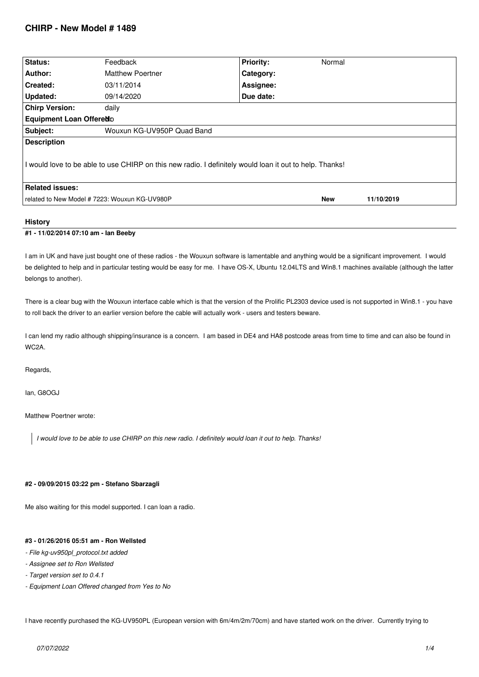# **CHIRP - New Model # 1489**

| Status:                                                                                                 | Feedback                   | <b>Priority:</b> | Normal     |            |  |  |
|---------------------------------------------------------------------------------------------------------|----------------------------|------------------|------------|------------|--|--|
| Author:                                                                                                 | <b>Matthew Poertner</b>    | Category:        |            |            |  |  |
| Created:                                                                                                | 03/11/2014                 | Assignee:        |            |            |  |  |
| Updated:                                                                                                | 09/14/2020                 | Due date:        |            |            |  |  |
| <b>Chirp Version:</b>                                                                                   | daily                      |                  |            |            |  |  |
| <b>Equipment Loan Offeredo</b>                                                                          |                            |                  |            |            |  |  |
| Subject:                                                                                                | Wouxun KG-UV950P Quad Band |                  |            |            |  |  |
| <b>Description</b>                                                                                      |                            |                  |            |            |  |  |
| I would love to be able to use CHIRP on this new radio. I definitely would loan it out to help. Thanks! |                            |                  |            |            |  |  |
| <b>Related issues:</b>                                                                                  |                            |                  |            |            |  |  |
| related to New Model # 7223: Wouxun KG-UV980P                                                           |                            |                  | <b>New</b> | 11/10/2019 |  |  |
|                                                                                                         |                            |                  |            |            |  |  |

### **History**

## **#1 - 11/02/2014 07:10 am - Ian Beeby**

*I am in UK and have just bought one of these radios - the Wouxun software is lamentable and anything would be a significant improvement. I would be delighted to help and in particular testing would be easy for me. I have OS-X, Ubuntu 12.04LTS and Win8.1 machines available (although the latter belongs to another).*

*There is a clear bug with the Wouxun interface cable which is that the version of the Prolific PL2303 device used is not supported in Win8.1 - you have to roll back the driver to an earlier version before the cable will actually work - users and testers beware.*

*I can lend my radio although shipping/insurance is a concern. I am based in DE4 and HA8 postcode areas from time to time and can also be found in WC2A.*

*Regards,*

*Ian, G8OGJ*

*Matthew Poertner wrote:*

*I would love to be able to use CHIRP on this new radio. I definitely would loan it out to help. Thanks!*

### **#2 - 09/09/2015 03:22 pm - Stefano Sbarzagli**

*Me also waiting for this model supported. I can loan a radio.*

## **#3 - 01/26/2016 05:51 am - Ron Wellsted**

- *File kg-uv950pl\_protocol.txt added*
- *Assignee set to Ron Wellsted*
- *Target version set to 0.4.1*
- *Equipment Loan Offered changed from Yes to No*

*I have recently purchased the KG-UV950PL (European version with 6m/4m/2m/70cm) and have started work on the driver. Currently trying to*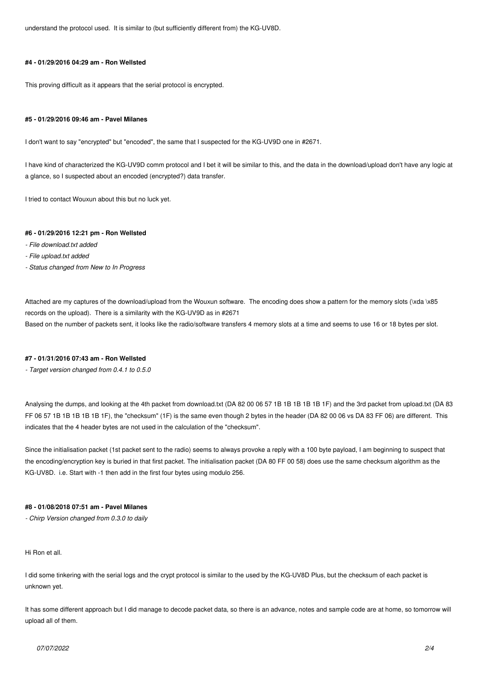*understand the protocol used. It is similar to (but sufficiently different from) the KG-UV8D.*

### **#4 - 01/29/2016 04:29 am - Ron Wellsted**

*This proving difficult as it appears that the serial protocol is encrypted.*

#### **#5 - 01/29/2016 09:46 am - Pavel Milanes**

*I don't want to say "encrypted" but "encoded", the same that I suspected for the KG-UV9D one in #2671.*

*I have kind of characterized the KG-UV9D comm protocol and I bet it will be similar to this, and the data in the download/upload don't have any logic at a glance, so I suspected about an encoded (encrypted?) data transfer.*

*I tried to contact Wouxun about this but no luck yet.*

## **#6 - 01/29/2016 12:21 pm - Ron Wellsted**

- *File download.txt added*
- *File upload.txt added*
- *Status changed from New to In Progress*

*Attached are my captures of the download/upload from the Wouxun software. The encoding does show a pattern for the memory slots (\xda \x85 records on the upload). There is a similarity with the KG-UV9D as in #2671 Based on the number of packets sent, it looks like the radio/software transfers 4 memory slots at a time and seems to use 16 or 18 bytes per slot.*

#### **#7 - 01/31/2016 07:43 am - Ron Wellsted**

*- Target version changed from 0.4.1 to 0.5.0*

*Analysing the dumps, and looking at the 4th packet from download.txt (DA 82 00 06 57 1B 1B 1B 1B 1B 1F) and the 3rd packet from upload.txt (DA 83 FF 06 57 1B 1B 1B 1B 1B 1F), the "checksum" (1F) is the same even though 2 bytes in the header (DA 82 00 06 vs DA 83 FF 06) are different. This indicates that the 4 header bytes are not used in the calculation of the "checksum".*

*Since the initialisation packet (1st packet sent to the radio) seems to always provoke a reply with a 100 byte payload, I am beginning to suspect that the encoding/encryption key is buried in that first packet. The initialisation packet (DA 80 FF 00 58) does use the same checksum algorithm as the KG-UV8D. i.e. Start with -1 then add in the first four bytes using modulo 256.*

### **#8 - 01/08/2018 07:51 am - Pavel Milanes**

*- Chirp Version changed from 0.3.0 to daily*

*Hi Ron et all.*

*I did some tinkering with the serial logs and the crypt protocol is similar to the used by the KG-UV8D Plus, but the checksum of each packet is unknown yet.*

It has some different approach but I did manage to decode packet data, so there is an advance, notes and sample code are at home, so tomorrow will *upload all of them.*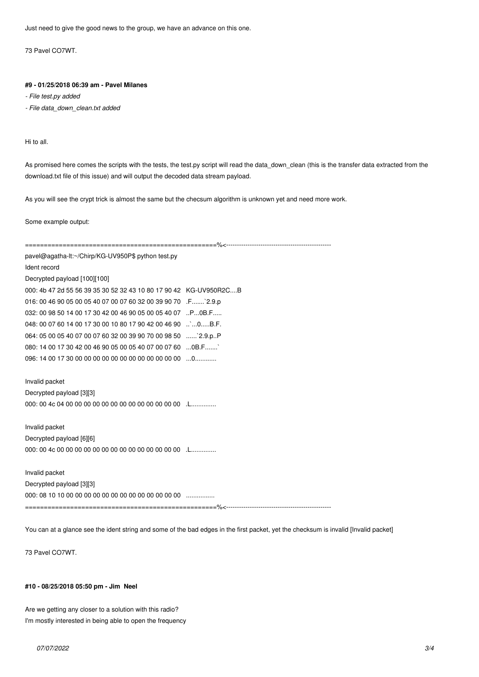*Just need to give the good news to the group, we have an advance on this one.*

*73 Pavel CO7WT.*

### **#9 - 01/25/2018 06:39 am - Pavel Milanes**

*- File test.py added*

*- File data\_down\_clean.txt added*

*Hi to all.*

*As promised here comes the scripts with the tests, the test.py script will read the data\_down\_clean (this is the transfer data extracted from the download.txt file of this issue) and will output the decoded data stream payload.*

*As you will see the crypt trick is almost the same but the checsum algorithm is unknown yet and need more work.*

*Some example output:*

*===================================================%<------------------------------------------------ pavel@agatha-lt:~/Chirp/KG-UV950P\$ python test.py Ident record Decrypted payload [100][100] 000: 4b 47 2d 55 56 39 35 30 52 32 43 10 80 17 90 42 KG-UV950R2C....B 016: 00 46 90 05 00 05 40 07 00 07 60 32 00 39 90 70 .F.......`2.9.p 032: 00 98 50 14 00 17 30 42 00 46 90 05 00 05 40 07 ..P...0B.F..... 048: 00 07 60 14 00 17 30 00 10 80 17 90 42 00 46 90 ..`...0.....B.F. 064: 05 00 05 40 07 00 07 60 32 00 39 90 70 00 98 50 ......`2.9.p..P 080: 14 00 17 30 42 00 46 90 05 00 05 40 07 00 07 60 ...0B.F.......` 096: 14 00 17 30 00 00 00 00 00 00 00 00 00 00 00 00 ...0............ Invalid packet Decrypted payload [3][3] 000: 00 4c 04 00 00 00 00 00 00 00 00 00 00 00 00 00 .L.............. Invalid packet Decrypted payload [6][6] 000: 00 4c 00 00 00 00 00 00 00 00 00 00 00 00 00 00 .L.............. Invalid packet Decrypted payload [3][3] 000: 08 10 10 00 00 00 00 00 00 00 00 00 00 00 00 00 ................ ===================================================%<-------------------------------------------------*

*You can at a glance see the ident string and some of the bad edges in the first packet, yet the checksum is invalid [Invalid packet]*

*73 Pavel CO7WT.*

#### **#10 - 08/25/2018 05:50 pm - Jim Neel**

*Are we getting any closer to a solution with this radio? I'm mostly interested in being able to open the frequency*